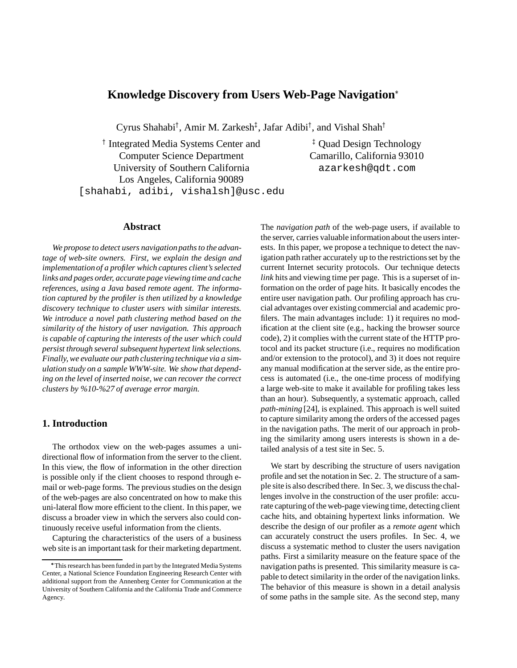# **Knowledge Discovery from Users Web-Page Navigation**

Cyrus Shahabi†, Amir M. Zarkesh‡, Jafar Adibi†, and Vishal Shah†

<sup>†</sup> Integrated Media Systems Center and Computer Science Department University of Southern California Los Angeles, California 90089 [shahabi, adibi, vishalsh]@usc.edu

- Quad Design Technology Camarillo, California 93010 azarkesh@qdt.com

#### **Abstract**

*We propose to detect users navigationpathsto the advantage of web-site owners. First, we explain the design and implementationof a profiler which captures client'sselected links and pages order, accurate page viewing time and cache references, using a Java based remote agent. The information captured by the profiler is then utilized by a knowledge discovery technique to cluster users with similar interests. We introduce a novel path clustering method based on the similarity of the history of user navigation. This approach is capable of capturing the interests of the user which could persist through several subsequent hypertext link selections. Finally, we evaluate our path clustering technique via a simulation study on a sample WWW-site. We show that depending on the level of inserted noise, we can recover the correct clusters by %10-%27 of average error margin.*

# **1. Introduction**

The orthodox view on the web-pages assumes a unidirectional flow of information from the server to the client. In this view, the flow of information in the other direction is possible only if the client chooses to respond through email or web-page forms. The previous studies on the design of the web-pages are also concentrated on how to make this uni-lateral flow more efficient to the client. In this paper, we discuss a broader view in which the servers also could continuously receive useful information from the clients.

Capturing the characteristics of the users of a business web site is an important task for their marketing department.

The *navigation path* of the web-page users, if available to the server, carries valuable information about the users interests. In this paper, we propose a technique to detect the navigation path rather accurately up to the restrictions set by the current Internet security protocols. Our technique detects *link* hits and viewing time per page. This is a superset of information on the order of page hits. It basically encodes the entire user navigation path. Our profiling approach has crucial advantages over existing commercial and academic profilers. The main advantages include: 1) it requires no modification at the client site (e.g., hacking the browser source code), 2) it complies with the current state of the HTTP protocol and its packet structure (i.e., requires no modification and/or extension to the protocol), and 3) it does not require any manual modification at the server side, as the entire process is automated (i.e., the one-time process of modifying a large web-site to make it available for profiling takes less than an hour). Subsequently, a systematic approach, called *path-mining* [24], is explained. This approach is well suited to capture similarity among the orders of the accessed pages in the navigation paths. The merit of our approach in probing the similarity among users interests is shown in a detailed analysis of a test site in Sec. 5.

We start by describing the structure of users navigation profile and set the notation in Sec. 2. The structure of a sample site is also described there. In Sec. 3, we discussthe challenges involve in the construction of the user profile: accurate capturing of the web-page viewing time, detecting client cache hits, and obtaining hypertext links information. We describe the design of our profiler as a *remote agent* which can accurately construct the users profiles. In Sec. 4, we discuss a systematic method to cluster the users navigation paths. First a similarity measure on the feature space of the navigation paths is presented. This similarity measure is capable to detect similarity in the order of the navigation links. The behavior of this measure is shown in a detail analysis of some paths in the sample site. As the second step, many

<sup>\*</sup> This research has been funded in part by the Integrated Media Systems Center, a National Science Foundation Engineering Research Center with additional support from the Annenberg Center for Communication at the University of Southern California and the California Trade and Commerce Agency.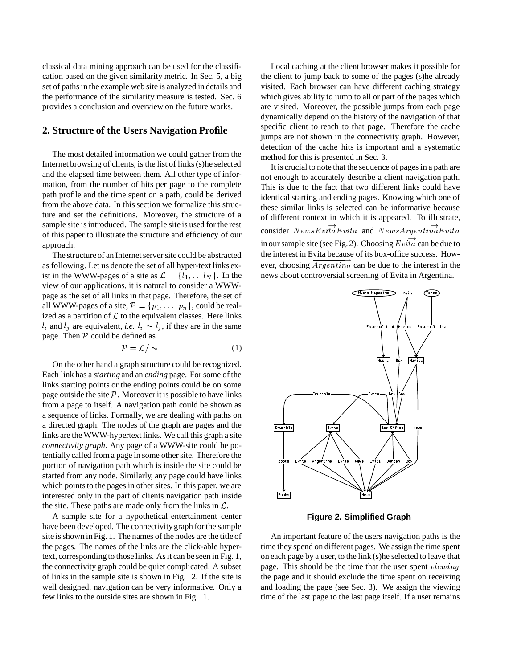classical data mining approach can be used for the classification based on the given similarity metric. In Sec. 5, a big set of paths in the example web site is analyzed in details and the performance of the similarity measure is tested. Sec. 6 provides a conclusion and overview on the future works.

# **2. Structure of the Users Navigation Profile**

The most detailed information we could gather from the Internet browsing of clients, is the list of links(s)he selected and the elapsed time between them. All other type of information, from the number of hits per page to the complete path profile and the time spent on a path, could be derived from the above data. In this section we formalize this structure and set the definitions. Moreover, the structure of a sample site is introduced. The sample site is used for the rest of this paper to illustrate the structure and efficiency of our approach.

The structure of an Internet server site could be abstracted as following. Let us denote the set of all hyper-text links exist in the WWW-pages of a site as  $\mathcal{L} = \{l_1, \ldots l_N\}$ . In the view of our applications, it is natural to consider a WWWpage as the set of all links in that page. Therefore, the set of all WWW-pages of a site,  $P = \{p_1, \ldots, p_n\}$ , could be realized as a partition of  $\mathcal L$  to the equivalent classes. Here links  $l_i$  and  $l_j$  are equivalent, *i.e.*  $l_i \sim l_j$ , if they are in the same page. Then  $P$  could be defined as

$$
\mathcal{P} = \mathcal{L} / \sim . \tag{1}
$$

On the other hand a graph structure could be recognized. Each link has a *starting* and an *ending* page. For some of the links starting points or the ending points could be on some page outside the site  $P$ . Moreover it is possible to have links from a page to itself. A navigation path could be shown as a sequence of links. Formally, we are dealing with paths on a directed graph. The nodes of the graph are pages and the links are the WWW-hypertext links. We call this graph a site *connectivity graph*. Any page of a WWW-site could be potentially called from a page in some other site. Therefore the portion of navigation path which is inside the site could be started from any node. Similarly, any page could have links which points to the pages in other sites. In this paper, we are interested only in the part of clients navigation path inside the site. These paths are made only from the links in  $\mathcal{L}$ .

A sample site for a hypothetical entertainment center have been developed. The connectivitygraph for the sample site is shown in Fig. 1. The names of the nodes are the title of the pages. The names of the links are the click-able hypertext, corresponding to those links. As it can be seen in Fig. 1, the connectivity graph could be quiet complicated. A subset of links in the sample site is shown in Fig. 2. If the site is well designed, navigation can be very informative. Only a few links to the outside sites are shown in Fig. 1.

Local caching at the client browser makes it possible for the client to jump back to some of the pages (s)he already visited. Each browser can have different caching strategy which gives ability to jump to all or part of the pages which are visited. Moreover, the possible jumps from each page dynamically depend on the history of the navigation of that specific client to reach to that page. Therefore the cache jumps are not shown in the connectivity graph. However, detection of the cache hits is important and a systematic method for this is presented in Sec. 3.

It is crucial to note that the sequence of pages in a path are not enough to accurately describe a client navigation path. This is due to the fact that two different links could have identical starting and ending pages. Knowing which one of these similar links is selected can be informative because of different context in which it is appeared. To illustrate, consider  $NewsEvit\'a Evita$  and  $NewsArgentin\'a Evita$ in our sample site (see Fig. 2). Choosing  $Evit\acute{a}$  can be due to the interest in Evita because of its box-office success. However, choosing  $Argentin\acute{a}$  can be due to the interest in the news about controversial screening of Evita in Argentina.



**Figure 2. Simplified Graph**

An important feature of the users navigation paths is the time they spend on different pages. We assign the time spent on each page by a user, to the link (s)he selected to leave that page. This should be the time that the user spent  $viewing$ the page and it should exclude the time spent on receiving and loading the page (see Sec. 3). We assign the viewing time of the last page to the last page itself. If a user remains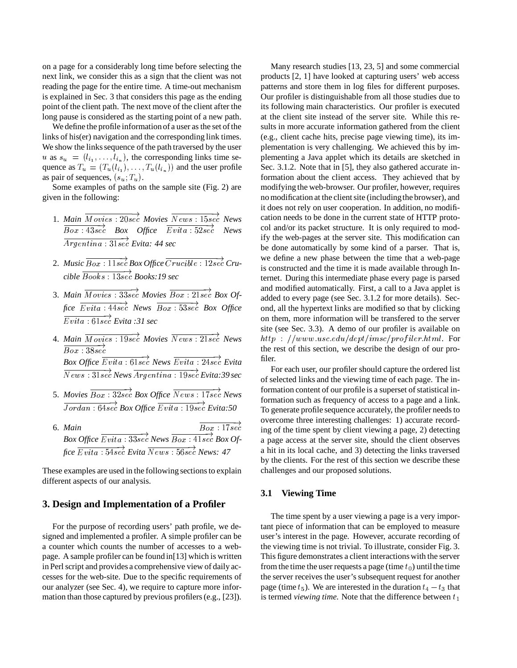on a page for a considerably long time before selecting the next link, we consider this as a sign that the client was not reading the page for the entire time. A time-out mechanism is explained in Sec. 3 that considers this page as the ending point of the client path. The next move of the client after the long pause is considered as the starting point of a new path.

We define the profile information of a user as the set of the links of his(er) navigation and the corresponding link times. We show the links sequence of the path traversed by the user u as  $s_u = (l_{i_1}, \ldots, l_{i_n})$ , the corresponding links time sequence as  $T_u = (T_u(l_{i_1}), \ldots, T_u(l_{i_n}))$  and the user profile as pair of sequences,  $(s_u; T_u)$ .

Some examples of paths on the sample site (Fig. 2) are given in the following:

- 1. Main Movies:  $20sec$  Movies News:  $15sec$  News cation n Box:  $43sec$  Box Office Evita:  $52sec$  News col and  $Argentina: 31 sec$  Evita: 44  $sec$
- 2. *Music Box* : 11sec Box Office C rucible : 12sec Cru-<br>is constru *cible* ,,,6,6,?,6,6,6,/ "#%%- \*#,'-\*' *Books:19 sec*
- 3. Main Movies:  $33 \text{ sec}$  Movies Box:  $21 \text{ sec}$  Box Of- $\emph{fice Evita : 44 se c' News Box : 53 se c' Box Office on$ ,,6,6,,6,6,6,?,/ 0217345 \*' *Evita :31 sec*
- 4. Main Movies:  $19sec$  Movies News:  $21sec$  News http:  $Box: 38 sec$  $Box\; Gffice \; Evita : 61sec \; News \; Evita : 24sec \; Evita$  filer.  $News : 31 sec' News Argentina : 19 sec' Evita: 39 sec$
- 5. *Movies Box*: 32sec Box Office News: 17sec News *Jordan : 64sec Box Office Evita : 19sec Evita:50*  $\qquad \qquad$  To g
- 6. *Main*<br>  $Box$  *Office*  $\overrightarrow{Evita : 33sec}$  *News*  $\overrightarrow{Box : 41sec}$  *Box Of-* a page access *fice* ,,6,,6,6,6,6,?,/ 01-345 !7& \*' *Evita* &(')+\* ,A,,6,6,6,6,,6, ' *News: 47*

These examples are used in the following sections to explain different aspects of our analysis.

### **3. Design and Implementation of a Profiler**

For the purpose of recording users' path profile, we designed and implemented a profiler. A simple profiler can be a counter which counts the number of accesses to a webpage. A sample profiler can be found in[13] which is written in Perl script and provides a comprehensive view of daily accesses for the web-site. Due to the specific requirements of our analyzer (see Sec. 4), we require to capture more information than those captured by previous profilers(e.g., [23]).

Many research studies [13, 23, 5] and some commercial products [2, 1] have looked at capturing users' web access patterns and store them in log files for different purposes. Our profiler is distinguishable from all those studies due to its following main characteristics. Our profiler is executed at the client site instead of the server site. While this results in more accurate information gathered from the client (e.g., client cache hits, precise page viewing time), its implementation is very challenging. We achieved this by implementing a Java applet which its details are sketched in Sec. 3.1.2. Note that in [5], they also gathered accurate information about the client access. They achieved that by modifying the web-browser. Our profiler, however, requires no modification at the client site (including the browser), and it does not rely on user cooperation. In addition, no modification needs to be done in the current state of HTTP protocol and/or its packet structure. It is only required to modify the web-pages at the server site. This modification can be done automatically by some kind of a parser. That is, we define a new phase between the time that a web-page is constructed and the time it is made available through Internet. During this intermediate phase every page is parsed and modified automatically. First, a call to a Java applet is added to every page (see Sec. 3.1.2 for more details). Second, all the hypertext links are modified so that by clicking on them, more information will be transfered to the server site (see Sec. 3.3). A demo of our profiler is available on  $\emph{http://www.usc.edu/dept/imsc/profilter.html. For}$ the rest of this section, we describe the design of our profiler.

 $ec$  ing of the time spent by client viewing a page, 2) detecting For each user, our profiler should capture the ordered list of selected links and the viewing time of each page. The information content of our profile is a superset of statistical information such as frequency of access to a page and a link. To generate profile sequence accurately, the profiler needs to overcome three interesting challenges: 1) accurate recorda page access at the server site, should the client observes a hit in its local cache, and 3) detecting the links traversed by the clients. For the rest of this section we describe these challenges and our proposed solutions.

#### **3.1 Viewing Time**

The time spent by a user viewing a page is a very important piece of information that can be employed to measure user's interest in the page. However, accurate recording of the viewing time is not trivial. To illustrate, consider Fig. 3. This figure demonstrates a client interactions with the server from the time the user requests a page (time  $t_0$ ) until the time the server receives the user's subsequent request for another page (time  $t_5$ ). We are interested in the duration  $t_4 - t_3$  that is termed *viewing time*. Note that the difference between  $t_1$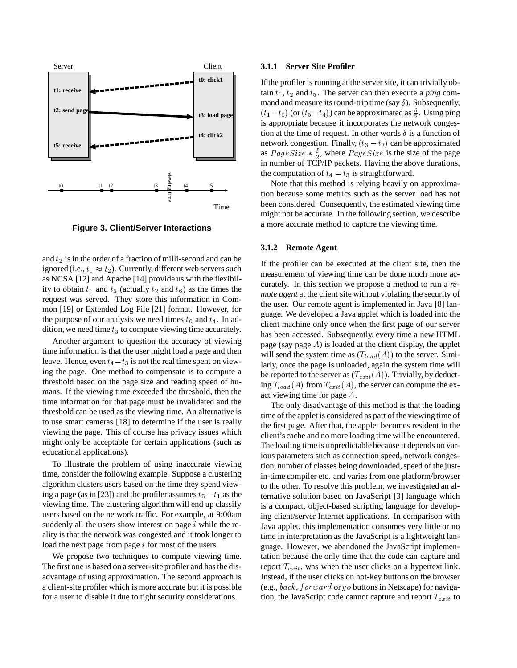

**Figure 3. Client/Server Interactions**

and  $t_2$  is in the order of a fraction of milli-second and can be ignored (i.e.,  $t_1 \approx t_2$ ). Currently, different web servers such as NCSA [12] and Apache [14] provide us with the flexibility to obtain  $t_1$  and  $t_5$  (actually  $t_2$  and  $t_6$ ) as the times the request was served. They store this information in Common [19] or Extended Log File [21] format. However, for the purpose of our analysis we need times  $t_0$  and  $t_4$ . In addition, we need time  $t_3$  to compute viewing time accurately.

Another argument to question the accuracy of viewing time information is that the user might load a page and then leave. Hence, even  $t_4 - t_3$  is not the real time spent on viewing the page. One method to compensate is to compute a threshold based on the page size and reading speed of humans. If the viewing time exceeded the threshold, then the time information for that page must be invalidated and the threshold can be used as the viewing time. An alternative is to use smart cameras [18] to determine if the user is really viewing the page. This of course has privacy issues which might only be acceptable for certain applications (such as educational applications).

To illustrate the problem of using inaccurate viewing time, consider the following example. Suppose a clustering algorithm clusters users based on the time they spend viewing a page (as in [23]) and the profiler assumes  $t_5 - t_1$  as the , viewing time. The clustering algorithm will end up classify users based on the network traffic. For example, at 9:00am suddenly all the users show interest on page  $i$  while the reality is that the network was congested and it took longer to load the next page from page  $i$  for most of the users.

We propose two techniques to compute viewing time. The first one is based on a server-site profiler and has the disadvantage of using approximation. The second approach is a client-site profiler which is more accurate but it is possible for a user to disable it due to tight security considerations.

#### **3.1.1 Server Site Profiler**

If the profiler is running at the server site, it can trivially ob- $\tan t_1, t_2$  and  $t_5$ . The server can then execute a *ping* command and measure its round-trip time (say  $\delta$ ). Subsequently,  $(t_1-t_0)$  (or  $(t_5-t_4)$ ) can be approximated as  $\frac{3}{2}$ . Using ping is appropriate because it incorporates the network congestion at the time of request. In other words  $\delta$  is a function of network congestion. Finally,  $(t_3 - t_2)$  can be approximated as  $PageSize * \frac{\delta}{2}$ , where  $PageSize$  is the size of the page in number of TCP/IP packets. Having the above durations, the computation of  $t_4 - t_3$  is straightforward.

Note that this method is relying heavily on approximation because some metrics such as the server load has not been considered. Consequently, the estimated viewing time might not be accurate. In the following section, we describe a more accurate method to capture the viewing time.

#### **3.1.2 Remote Agent**

If the profiler can be executed at the client site, then the measurement of viewing time can be done much more accurately. In this section we propose a method to run a *remote agent* at the client site without violating the security of the user. Our remote agent is implemented in Java [8] language. We developed a Java applet which is loaded into the client machine only once when the first page of our server has been accessed. Subsequently, every time a new HTML page (say page  $A$ ) is loaded at the client display, the applet will send the system time as  $(T_{load}(A))$  to the server. Similarly, once the page is unloaded, again the system time will be reported to the server as  $(T_{exit}(A))$ . Trivially, by deducting  $T_{load}(A)$  from  $T_{exit}(A)$ , the server can compute the exact viewing time for page  $A$ .

The only disadvantage of this method is that the loading time of the applet is considered as part of the viewing time of the first page. After that, the applet becomes resident in the client's cache and no more loading time will be encountered. The loading time is unpredictable because it depends on various parameters such as connection speed, network congestion, number of classes being downloaded, speed of the justin-time compiler etc. and varies from one platform/browser to the other. To resolve this problem, we investigated an alternative solution based on JavaScript [3] language which is a compact, object-based scripting language for developing client/server Internet applications. In comparison with Java applet, this implementation consumes very little or no time in interpretation as the JavaScript is a lightweight language. However, we abandoned the JavaScript implementation because the only time that the code can capture and report  $T_{exit}$ , was when the user clicks on a hypertext link. Instead, if the user clicks on hot-key buttons on the browser (e.g.,  $back, forward$  or  $go$  buttons in Netscape) for navigation, the JavaScript code cannot capture and report  $T_{exit}$  to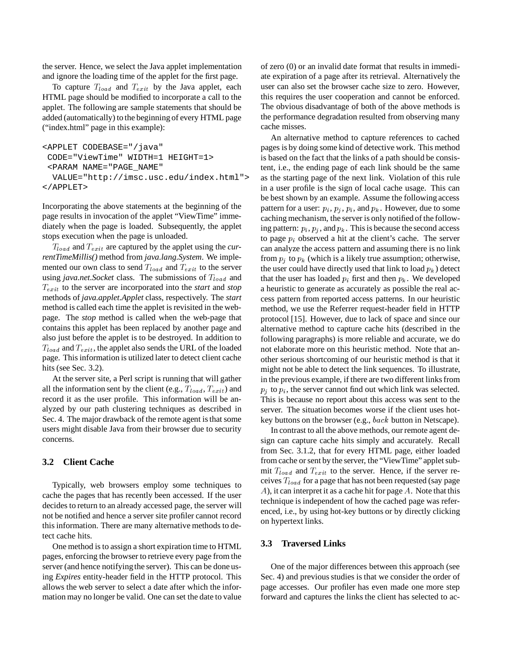the server. Hence, we select the Java applet implementation and ignore the loading time of the applet for the first page.

To capture  $T_{load}$  and  $T_{exit}$  by the Java applet, each HTML page should be modified to incorporate a call to the applet. The following are sample statements that should be added (automatically) to the beginning of every HTML page ("index.html" page in this example):

```
<APPLET CODEBASE="/java"
CODE="ViewTime" WIDTH=1 HEIGHT=1>
 <PARAM NAME="PAGE_NAME"
 VALUE="http://imsc.usc.edu/index.html">
</APPLET>
```
Incorporating the above statements at the beginning of the page results in invocation of the applet "ViewTime" immediately when the page is loaded. Subsequently, the applet stops execution when the page is unloaded.

 $T_{load}$  and  $T_{exit}$  are captured by the applet using the *currentTimeMillis()* method from *java.lang.System*. We implemented our own class to send  $T_{load}$  and  $T_{exit}$  to the server using *java.net.Socket* class. The submissions of  $T_{load}$  and  $T_{exit}$  to the server are incorporated into the *start* and *stop* methods of *java.applet.Applet* class, respectively. The *start* method is called each time the applet is revisited in the webpage. The *stop* method is called when the web-page that contains this applet has been replaced by another page and also just before the applet is to be destroyed. In addition to  $T_{load}$  and  $T_{exit}$ , the applet also sends the URL of the loaded page. This information is utilized later to detect client cache hits (see Sec. 3.2).

At the server site, a Perl script is running that will gather all the information sent by the client (e.g.,  $T_{load}$ ,  $T_{exit}$ ) and record it as the user profile. This information will be analyzed by our path clustering techniques as described in Sec. 4. The major drawback of the remote agent is that some users might disable Java from their browser due to security concerns.

#### **3.2 Client Cache**

Typically, web browsers employ some techniques to cache the pages that has recently been accessed. If the user decides to return to an already accessed page, the server will not be notified and hence a server site profiler cannot record this information. There are many alternative methods to detect cache hits.

One method is to assign a short expiration time to HTML pages, enforcing the browser to retrieve every page from the server (and hence notifying the server). This can be done using *Expires* entity-header field in the HTTP protocol. This allows the web server to select a date after which the information may no longer be valid. One can set the date to value of zero (0) or an invalid date format that results in immediate expiration of a page after its retrieval. Alternatively the user can also set the browser cache size to zero. However, this requires the user cooperation and cannot be enforced. The obvious disadvantage of both of the above methods is the performance degradation resulted from observing many cache misses.

An alternative method to capture references to cached pages is by doing some kind of detective work. This method is based on the fact that the links of a path should be consistent, i.e., the ending page of each link should be the same as the starting page of the next link. Violation of this rule in a user profile is the sign of local cache usage. This can be best shown by an example. Assume the following access pattern for a user:  $p_i$ ,  $p_j$ ,  $p_i$ , and  $p_k$ . However, due to some caching mechanism, the server is only notified of the following pattern:  $p_i$ ,  $p_j$ , and  $p_k$ . This is because the second access to page  $p_i$  observed a hit at the client's cache. The server can analyze the access pattern and assuming there is no link from  $p_j$  to  $p_k$  (which is a likely true assumption; otherwise, the user could have directly used that link to load  $p_k$ ) detect that the user has loaded  $p_i$  first and then  $p_k$ . We developed a heuristic to generate as accurately as possible the real access pattern from reported access patterns. In our heuristic method, we use the Referrer request-header field in HTTP protocol [15]. However, due to lack of space and since our alternative method to capture cache hits (described in the following paragraphs) is more reliable and accurate, we do not elaborate more on this heuristic method. Note that another serious shortcoming of our heuristic method is that it might not be able to detect the link sequences. To illustrate, in the previous example, if there are two different links from  $p_i$  to  $p_i$ , the server cannot find out which link was selected. This is because no report about this access was sent to the server. The situation becomes worse if the client uses hotkey buttons on the browser (e.g.,  $back$  button in Netscape).

In contrast to all the above methods, our remote agent design can capture cache hits simply and accurately. Recall from Sec. 3.1.2, that for every HTML page, either loaded from cache or sent by the server, the "ViewTime" applet submit  $T_{load}$  and  $T_{exit}$  to the server. Hence, if the server receives  $T_{load}$  for a page that has not been requested (say page  $(A)$ , it can interpret it as a cache hit for page  $A$ . Note that this technique is independent of how the cached page was referenced, i.e., by using hot-key buttons or by directly clicking on hypertext links.

# **3.3 Traversed Links**

One of the major differences between this approach (see Sec. 4) and previous studies is that we consider the order of page accesses. Our profiler has even made one more step forward and captures the links the client has selected to ac-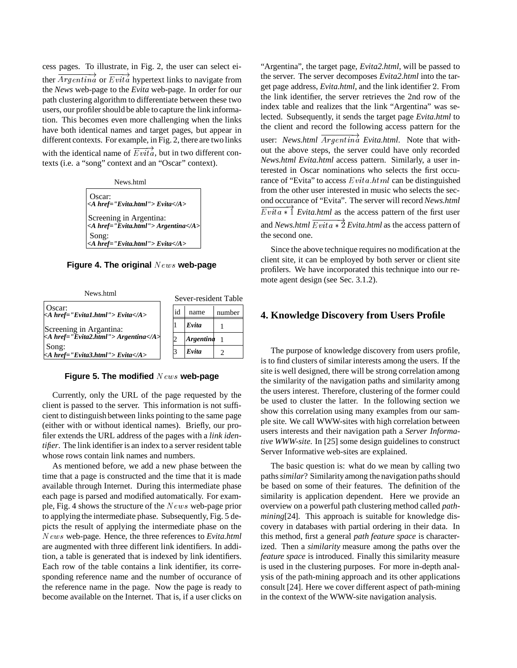cess pages. To illustrate, in Fig. 2, the user can select either  $Argentina$  or  $Evit\acute{a}$  hypertext links to navigate from the *News* web-page to the *Evita* web-page. In order for our path clustering algorithm to differentiate between these two users, our profiler should be able to capture the link information. This becomes even more challenging when the links have both identical names and target pages, but appear in different contexts. For example, in Fig. 2, there are two links with the identical name of  $\overrightarrow{Evita}$ , but in two different contexts (i.e. a "song" context and an "Oscar" context).



**Figure 4. The original**  $News$  web-page



**Figure 5. The modified**  $News$  web-page

Currently, only the URL of the page requested by the client is passed to the server. This information is not sufficient to distinguish between links pointing to the same page (either with or without identical names). Briefly, our profiler extends the URL address of the pages with a *link identifier*. The link identifier is an index to a server resident table whose rows contain link names and numbers.

As mentioned before, we add a new phase between the time that a page is constructed and the time that it is made available through Internet. During this intermediate phase each page is parsed and modified automatically. For example, Fig. 4 shows the structure of the  $News$  web-page prior to applying the intermediate phase. Subsequently, Fig. 5 depicts the result of applying the intermediate phase on the &(' ) \* web-page. Hence, the three references to *Evita.html* are augmented with three different link identifiers. In addition, a table is generated that is indexed by link identifiers. Each row of the table contains a link identifier, its corresponding reference name and the number of occurance of the reference name in the page. Now the page is ready to become available on the Internet. That is, if a user clicks on

"Argentina", the target page, *Evita2.html*, will be passed to the server. The server decomposes *Evita2.html* into the target page address, *Evita.html*, and the link identifier 2. From the link identifier, the server retrieves the 2nd row of the index table and realizes that the link "Argentina" was selected. Subsequently, it sends the target page *Evita.html* to the client and record the following access pattern for the user: *News.html Argentina Evita.html*. Note that without the above steps, the server could have only recorded *News.html Evita.html* access pattern. Similarly, a user interested in Oscar nominations who selects the first occurance of "Evita" to access  $Evita.html$  can be distinguished from the other user interested in music who selects the second occurance of "Evita". The server will record *News.html*  $Evita * 1$  *Evita.html* as the access pattern of the first user and *News.html*  $\overrightarrow{Evita *2}$  *Evita.html* as the access pattern of the second one.

Since the above technique requires no modification at the client site, it can be employed by both server or client site profilers. We have incorporated this technique into our remote agent design (see Sec. 3.1.2).

# **4. Knowledge Discovery from Users Profile**

The purpose of knowledge discovery from users profile, is to find clusters of similar interests among the users. If the site is well designed, there will be strong correlation among the similarity of the navigation paths and similarity among the users interest. Therefore, clustering of the former could be used to cluster the latter. In the following section we show this correlation using many examples from our sample site. We call WWW-sites with high correlation between users interests and their navigation path a *Server Informative WWW-site*. In [25] some design guidelines to construct Server Informative web-sites are explained.

The basic question is: what do we mean by calling two paths *similar*? Similarity among the navigation paths should be based on some of their features. The definition of the similarity is application dependent. Here we provide an overview on a powerful path clustering method called *pathmining*[24]. This approach is suitable for knowledge discovery in databases with partial ordering in their data. In this method, first a general *path feature space* is characterized. Then a *similarity* measure among the paths over the *feature space* is introduced. Finally this similarity measure is used in the clustering purposes. For more in-depth analysis of the path-mining approach and its other applications consult [24]. Here we cover different aspect of path-mining in the context of the WWW-site navigation analysis.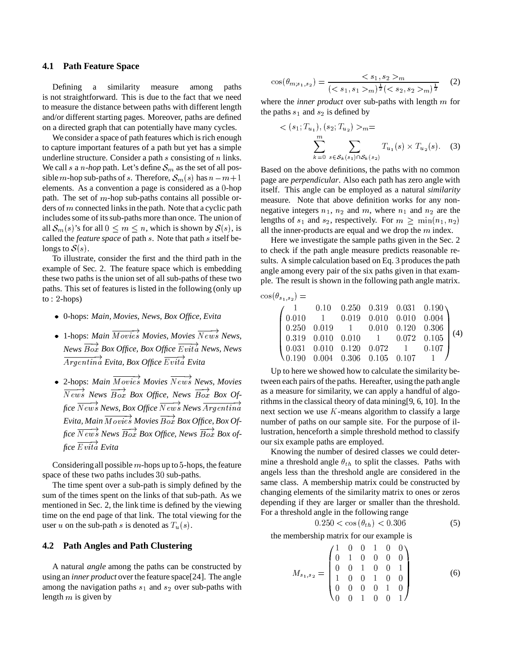#### **4.1 Path Feature Space**

Defining a similarity measure among paths is not straightforward. This is due to the fact that we need to measure the distance between paths with different length and/or different starting pages. Moreover, paths are defined on a directed graph that can potentially have many cycles.

We consider a space of path features which is rich enough to capture important features of a path but yet has a simple underline structure. Consider a path  $s$  consisting of  $n$  links. We call s a *n*-hop path. Let's define  $S_m$  as the set of all possible *m*-hop sub-paths of *s*. Therefore,  $S_m(s)$  has  $n-m+1$ elements. As a convention a page is considered as a 0-hop path. The set of  $m$ -hop sub-paths contains all possible orders of  $m$  connected links in the path. Note that a cyclic path includes some of its sub-paths more than once. The union of all  $S_m(s)$ 's for all  $0 \le m \le n$ , which is shown by  $S(s)$ , is all called the *feature space* of path s. Note that path s itself belongs to  $\mathcal{S}(s)$ .

To illustrate, consider the first and the third path in the example of Sec. 2. The feature space which is embedding these two paths is the union set of all sub-paths of these two paths. This set of features is listed in the following (only up to :  $2-hops)$ 

- 0-hops: *Main, Movies, News, Box Office, Evita*
- 1-hops: *Main Movies Movies, Movies News News,*  $News\ Box\ Office, Box\ Office, Evita\ News, News.$  $A$ rgentina Evita, Box Office Evita<sup>,</sup> Evita
- 2-hops: *Main Movies Movies News News, Movies*  $\overrightarrow{News}$  *News*  $\overrightarrow{Box}$  *Box Office, News*  $\overrightarrow{Box}$  *Box Office* News, *News, Box Office* News *Argentina next* section w  $E$ vita, Main M ovies<sup>,</sup> Movies Box **Box Office, Box Of***fice News<sup>'</sup> News Box<sup>'</sup> Box Office, News Box<sup>'</sup> Box office* Evita<sup>*Evita*</sup>

Considering all possible  $m$ -hops up to 5-hops, the feature space of these two paths includes 30 sub-paths.

The time spent over a sub-path is simply defined by the sum of the times spent on the links of that sub-path. As we mentioned in Sec. 2, the link time is defined by the viewing time on the end page of that link. The total viewing for the user u on the sub-path s is denoted as  $T_u(s)$ .

#### **4.2 Path Angles and Path Clustering**

A natural *angle* among the paths can be constructed by using an *inner product* over the feature space[24]. The angle among the navigation paths  $s_1$  and  $s_2$  over sub-paths with length  $m$  is given by

$$
\cos(\theta_{m;s_1,s_2}) = \frac{_{m}}{(_{m})^{\frac{1}{2}}(_{m})^{\frac{1}{2}}}
$$
 (2)

where the *inner product* over sub-paths with length m for the paths  $s_1$  and  $s_2$  is defined by

$$
\langle (s_1; T_{u_1}), (s_2; T_{u_2}) \rangle_m =
$$
  

$$
\sum_{k=0}^m \sum_{s \in S_k(s_1) \cap S_k(s_2)} T_{u_1}(s) \times T_{u_2}(s).
$$
 (3)

 $\frac{m+1}{2}$  page are *perpendicular*. Also each path has zero angle with Based on the above definitions, the paths with no common itself. This angle can be employed as a natural *similarity* measure. Note that above definition works for any nonnegative integers  $n_1$ ,  $n_2$  and  $m$ , where  $n_1$  and  $n_2$  are the lengths of  $s_1$  and  $s_2$ , respectively. For  $m \ge \min(n_1, n_2)$ all the inner-products are equal and we drop the  $m$  index.

> Here we investigate the sample paths given in the Sec. 2 to check if the path angle measure predicts reasonable results. A simple calculation based on Eq. 3 produces the path angle among every pair of the six paths given in that example. The result is shown in the following path angle matrix.

 $\cos(\theta) =$ 

| $\left( \begin{array}{cccccc} 1 & 0.10 & 0.250 & 0.319 & 0.031 & 0.190 \\ 0.010 & 1 & 0.019 & 0.010 & 0.010 & 0.004 \\ 0.250 & 0.019 & 1 & 0.010 & 0.120 & 0.306 \\ 0.319 & 0.010 & 0.010 & 1 & 0.072 & 0.105 \\ 0.031 & 0.010 & 0.120 & 0.072 & 1 & 0.107 \\ 0.190 & 0.004 & 0.306$ |  |  |  |
|--------------------------------------------------------------------------------------------------------------------------------------------------------------------------------------------------------------------------------------------------------------------------------------|--|--|--|
|                                                                                                                                                                                                                                                                                      |  |  |  |
|                                                                                                                                                                                                                                                                                      |  |  |  |
|                                                                                                                                                                                                                                                                                      |  |  |  |
|                                                                                                                                                                                                                                                                                      |  |  |  |
|                                                                                                                                                                                                                                                                                      |  |  |  |

 $\rightarrow$  rithms in the classical theory of data mining [9, 6, 10]. In the Up to here we showed how to calculate the similarity between each pairs of the paths. Hereafter, using the path angle as a measure for similarity, we can apply a handful of algonext section we use  $K$ -means algorithm to classify a large number of paths on our sample site. For the purpose of illustration, henceforth a simple threshold method to classify our six example paths are employed.

Knowing the number of desired classes we could determine a threshold angle  $\theta_{th}$  to split the classes. Paths with angels less than the threshold angle are considered in the same class. A membership matrix could be constructed by changing elements of the similarity matrix to ones or zeros depending if they are larger or smaller than the threshold. For a threshold angle in the following range

$$
0.250 < \cos\left(\theta_{th}\right) < 0.306\tag{5}
$$

the membership matrix for our example is

$$
M_{s_1,s_2} = \begin{pmatrix} 1 & 0 & 0 & 1 & 0 & 0 \\ 0 & 1 & 0 & 0 & 0 & 0 \\ 0 & 0 & 1 & 0 & 0 & 1 \\ 1 & 0 & 0 & 1 & 0 & 0 \\ 0 & 0 & 0 & 0 & 1 & 0 \\ 0 & 0 & 1 & 0 & 0 & 1 \end{pmatrix}
$$
(6)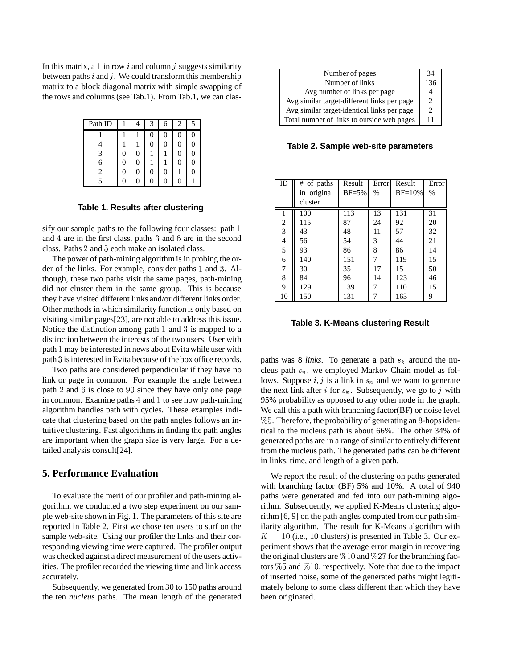In this matrix, a 1 in row  $i$  and column  $j$  suggests similarity between paths  $i$  and  $j$ . We could transform this membership matrix to a block diagonal matrix with simple swapping of the rows and columns (see Tab.1). From Tab.1, we can clas-

| Path ID |   |   | 3 | 6        | 2 |   |
|---------|---|---|---|----------|---|---|
|         |   |   | 0 | $\theta$ |   | 0 |
|         |   |   | 0 | 0        | 0 | 0 |
| 3       | 0 | O |   |          | 0 | 0 |
| 6       | 0 | O |   |          | 0 | 0 |
| 2       | 0 | O | 0 | 0        |   | 0 |
| 5       | 0 |   | 0 | 0        |   |   |

#### **Table 1. Results after clustering**

sify our sample paths to the following four classes: path 1 and 4 are in the first class, paths  $3$  and  $6$  are in the second class. Paths 2 and 5 each make an isolated class.

The power of path-mining algorithm is in probing the order of the links. For example, consider paths 1 and 3. Although, these two paths visit the same pages, path-mining did not cluster them in the same group. This is because they have visited different links and/or different links order. Other methods in which similarity function is only based on visiting similar pages[23], are not able to address this issue. Notice the distinction among path  $1$  and  $3$  is mapped to a distinction between the interests of the two users. User with path 1 may be interested in news about Evita while user with path 3 is interested in Evita because of the box office records.

Two paths are considered perpendicular if they have no link or page in common. For example the angle between path  $2$  and  $6$  is close to  $90$  since they have only one page in common. Examine paths 4 and 1 to see how path-mining algorithm handles path with cycles. These examples indicate that clustering based on the path angles follows an intuitive clustering. Fast algorithms in finding the path angles are important when the graph size is very large. For a detailed analysis consult[24].

### **5. Performance Evaluation**

To evaluate the merit of our profiler and path-mining algorithm, we conducted a two step experiment on our sample web-site shown in Fig. 1. The parameters of this site are reported in Table 2. First we chose ten users to surf on the sample web-site. Using our profiler the links and their corresponding viewing time were captured. The profiler output was checked against a direct measurement of the users activities. The profiler recorded the viewing time and link access accurately.

Subsequently, we generated from 30 to 150 paths around the ten *nucleus* paths. The mean length of the generated

| Number of pages                             | 34              |
|---------------------------------------------|-----------------|
| Number of links                             | $\frac{1}{136}$ |
| Avg number of links per page                |                 |
| Avg similar target-different links per page | 2               |
| Avg similar target-identical links per page | 2               |
| Total number of links to outside web pages  | 11              |

**Table 2. Sample web-site parameters**

| ID                       | # of paths  | Result  | Error | Result     | Error |
|--------------------------|-------------|---------|-------|------------|-------|
|                          | in original | $BF=5%$ | %     | $BF = 10%$ | %     |
|                          | cluster     |         |       |            |       |
| $\mathbf{1}$             | 100         | 113     | 13    | 131        | 31    |
| $\frac{2}{3}$            | 115         | 87      | 24    | 92         | 20    |
|                          | 43          | 48      | 11    | 57         | 32    |
| $\overline{\mathcal{L}}$ | 56          | 54      | 3     | 44         | 21    |
| 5                        | 93          | 86      | 8     | 86         | 14    |
| 6                        | 140         | 151     | 7     | 119        | 15    |
| 7                        | 30          | 35      | 17    | 15         | 50    |
| 8                        | 84          | 96      | 14    | 123        | 46    |
| 9                        | 129         | 139     | 7     | 110        | 15    |
| 10                       | 150         | 131     | 7     | 163        | 9     |

**Table 3. K-Means clustering Result**

paths was 8 *links*. To generate a path  $s_k$  around the nucleus path  $s_n$ , we employed Markov Chain model as follows. Suppose  $i, j$  is a link in  $s_n$  and we want to generate the next link after *i* for  $s_k$ . Subsequently, we go to *j* with 95% probability as opposed to any other node in the graph. We call this a path with branching factor(BF) or noise level  $\%5$ . Therefore, the probability of generating an 8-hops identical to the nucleus path is about 66%. The other 34% of generated paths are in a range of similar to entirely different from the nucleus path. The generated paths can be different in links, time, and length of a given path.

We report the result of the clustering on paths generated with branching factor (BF) 5% and 10%. A total of 940 paths were generated and fed into our path-mining algorithm. Subsequently, we applied K-Means clustering algorithm [6, 9] on the path angles computed from our path similarity algorithm. The result for K-Means algorithm with  $K = 10$  (i.e., 10 clusters) is presented in Table 3. Our experiment shows that the average error margin in recovering the original clusters are  $\%10$  and  $\%27$  for the branching factors  $\%5$  and  $\%10$ , respectively. Note that due to the impact of inserted noise, some of the generated paths might legitimately belong to some class different than which they have been originated.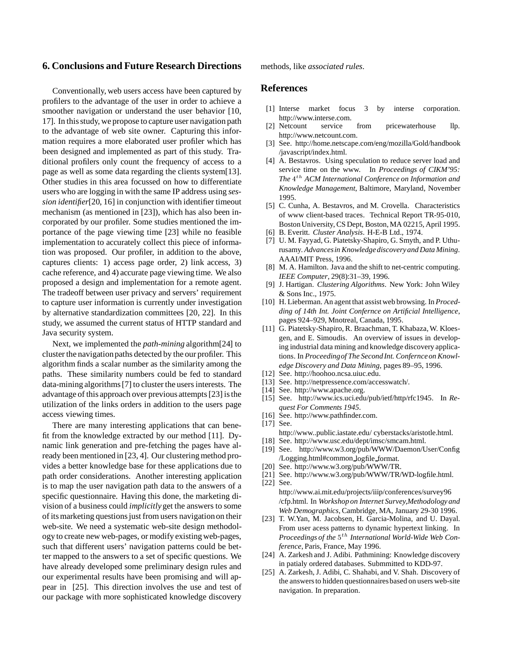# **6. Conclusions and Future Research Directions**

Conventionally, web users access have been captured by profilers to the advantage of the user in order to achieve a smoother navigation or understand the user behavior [10, 17]. In thisstudy, we propose to capture user navigation path to the advantage of web site owner. Capturing this information requires a more elaborated user profiler which has been designed and implemented as part of this study. Traditional profilers only count the frequency of access to a page as well as some data regarding the clients system[13]. Other studies in this area focussed on how to differentiate users who are logging in with the same IP address using *session identifier*[20, 16] in conjunction with identifier timeout mechanism (as mentioned in [23]), which has also been incorporated by our profiler. Some studies mentioned the importance of the page viewing time [23] while no feasible implementation to accurately collect this piece of information was proposed. Our profiler, in addition to the above, captures clients: 1) access page order, 2) link access, 3) cache reference, and 4) accurate page viewing time. We also proposed a design and implementation for a remote agent. The tradeoff between user privacy and servers' requirement to capture user information is currently under investigation by alternative standardization committees [20, 22]. In this study, we assumed the current status of HTTP standard and Java security system.

Next, we implemented the *path-mining* algorithm[24] to cluster the navigationpaths detected by the our profiler. This algorithm finds a scalar number as the similarity among the paths. These similarity numbers could be fed to standard data-mining algorithms[7] to cluster the users interests. The advantage of this approach over previous attempts[23] isthe utilization of the links orders in addition to the users page access viewing times.

There are many interesting applications that can benefit from the knowledge extracted by our method [11]. Dynamic link generation and pre-fetching the pages have already been mentioned in [23, 4]. Our clustering method provides a better knowledge base for these applications due to path order considerations. Another interesting application is to map the user navigation path data to the answers of a specific questionnaire. Having this done, the marketing division of a business could *implicitly* get the answers to some of itsmarketing questionsjust from users navigationon their web-site. We need a systematic web-site design methodology to create new web-pages, or modify existing web-pages, such that different users' navigation patterns could be better mapped to the answers to a set of specific questions. We have already developed some preliminary design rules and our experimental results have been promising and will appear in [25]. This direction involves the use and test of our package with more sophisticated knowledge discovery methods, like *associated rules*.

### **References**

- [1] Interse market focus 3 by interse corporation. http://www.interse.com.
- [2] Netcount service from pricewaterhouse llp. http://www.netcount.com.
- [3] See. http://home.netscape.com/eng/mozilla/Gold/handbook /javascript/index.html.
- [4] A. Bestavros. Using speculation to reduce server load and service time on the www. In *Proceedings of CIKM'95: The* - *ACM International Conference on Information and Knowledge Management*, Baltimore, Maryland, November 1995.
- [5] C. Cunha, A. Bestavros, and M. Crovella. Characteristics of www client-based traces. Technical Report TR-95-010, BostonUniversity, CS Dept, Boston, MA 02215, April 1995.
- [6] B. Everitt. *Cluster Analysis*. H-E-B Ltd., 1974.
- [7] U. M. Fayyad, G. Piatetsky-Shapiro, G. Smyth, and P. Uthurusamy. *Advancesin KnowledgediscoveryandData Mining*. AAAI/MIT Press, 1996.
- [8] M. A. Hamilton. Java and the shift to net-centric computing. *IEEE Computer*, 29(8):31–39, 1996.
- [9] J. Hartigan. *Clustering Algorithms*. New York: John Wiley & Sons Inc., 1975.
- [10] H. Lieberman. An agent that assistweb browsing. In *Procedding of 14th Int. Joint Confernce on Artificial Intelligence*, pages 924–929, Mnotreal, Canada, 1995.
- [11] G. Piatetsky-Shapiro, R. Braachman, T. Khabaza, W. Kloesgen, and E. Simoudis. An overview of issues in developing industrial data mining and knowledge discovery applications. In *Proceedingof The Second Int. ConfernceonKnowledge Discovery and Data Mining*, pages 89–95, 1996.
- [12] See. http://hoohoo.ncsa.uiuc.edu.
- [13] See. http://netpressence.com/accesswatch/.
- [14] See. http://www.apache.org.
- [15] See. http://www.ics.uci.edu/pub/ietf/http/rfc1945. In *Request For Comments 1945*.
- [16] See. http://www.pathfinder.com.
- [17] See.

http://www..public.iastate.edu/ cyberstacks/aristotle.html. [18] See. http://www.usc.edu/dept/imsc/smcam.html.

- [19] See. http://www.w3.org/pub/WWW/Daemon/User/Config /Logging.html#common logfile format.
- [20] See. http://www.w3.org/pub/WWW/TR.

- [22] See. http://www.ai.mit.edu/projects/iiip/conferences/survey96 /cfp.html. In *Workshop on Internet Survey,Methodology and Web Demographics*, Cambridge, MA, January 29-30 1996.
- [23] T. W.Yan, M. Jacobsen, H. Garcia-Molina, and U. Dayal. From user acess patterns to dynamic hypertext linking. In *Proceedings of the International World-Wide Web Conference*, Paris, France, May 1996.
- [24] A. Zarkesh and J. Adibi. Pathmining: Knowledge discovery in patialy ordered databases. Submmitted to KDD-97.
- [25] A. Zarkesh, J. Adibi, C. Shahabi, and V. Shah. Discovery of the answersto hidden questionnairesbased on users web-site navigation. In preparation.

<sup>[21]</sup> See. http://www.w3.org/pub/WWW/TR/WD-logfile.html.